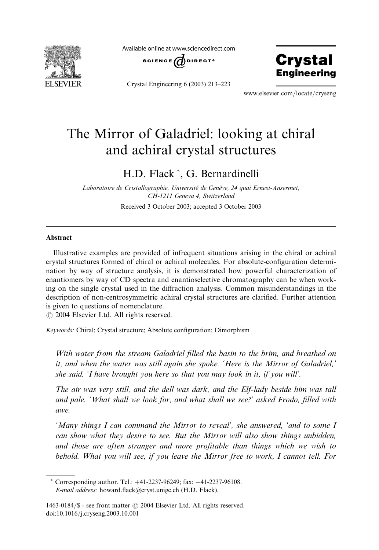

Available online at www.sciencedirect.com



Crystal Engineering 6 (2003) 213–223

**Crystal Engineering** 

www.elsevier.com/locate/cryseng

# The Mirror of Galadriel: looking at chiral and achiral crystal structures

H.D. Flack<sup>\*</sup>, G. Bernardinelli

Laboratoire de Cristallographie, Université de Genève, 24 quai Ernest-Ansermet, CH-1211 Geneva 4, Switzerland Received 3 October 2003; accepted 3 October 2003

# Abstract

Illustrative examples are provided of infrequent situations arising in the chiral or achiral crystal structures formed of chiral or achiral molecules. For absolute-configuration determination by way of structure analysis, it is demonstrated how powerful characterization of enantiomers by way of CD spectra and enantioselective chromatography can be when working on the single crystal used in the diffraction analysis. Common misunderstandings in the description of non-centrosymmetric achiral crystal structures are clarified. Further attention is given to questions of nomenclature.

 $\odot$  2004 Elsevier Ltd. All rights reserved.

Keywords: Chiral; Crystal structure; Absolute configuration; Dimorphism

With water from the stream Galadriel filled the basin to the brim, and breathed on it, and when the water was still again she spoke. 'Here is the Mirror of Galadriel,' she said. 'I have brought you here so that you may look in it, if you will'.

The air was very still, and the dell was dark, and the Elf-lady beside him was tall and pale. 'What shall we look for, and what shall we see?' asked Frodo, filled with awe.

'Many things I can command the Mirror to reveal', she answered, 'and to some I can show what they desire to see. But the Mirror will also show things unbidden, and those are often stranger and more profitable than things which we wish to behold. What you will see, if you leave the Mirror free to work, I cannot tell. For

<sup>\*</sup> Corresponding author. Tel.:  $+41-2237-96249$ ; fax:  $+41-2237-96108$ . E-mail address: howard.flack@cryst.unige.ch (H.D. Flack).

<sup>1463-0184/</sup> $\$  - see front matter  $\odot$  2004 Elsevier Ltd. All rights reserved. doi:10.1016/j.cryseng.2003.10.001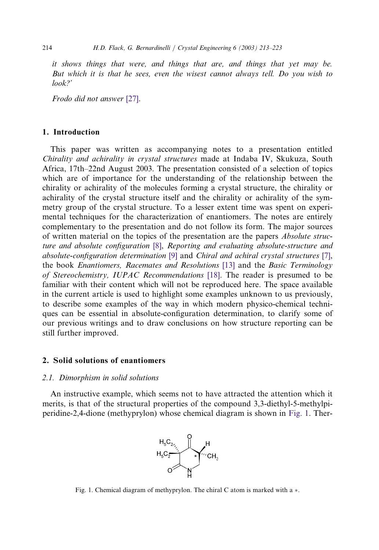it shows things that were, and things that are, and things that yet may be. But which it is that he sees, even the wisest cannot always tell. Do you wish to look?'

Frodo did not answer [\[27\]](#page-10-0).

# 1. Introduction

This paper was written as accompanying notes to a presentation entitled Chirality and achirality in crystal structures made at Indaba IV, Skukuza, South Africa, 17th–22nd August 2003. The presentation consisted of a selection of topics which are of importance for the understanding of the relationship between the chirality or achirality of the molecules forming a crystal structure, the chirality or achirality of the crystal structure itself and the chirality or achirality of the symmetry group of the crystal structure. To a lesser extent time was spent on experimental techniques for the characterization of enantiomers. The notes are entirely complementary to the presentation and do not follow its form. The major sources of written material on the topics of the presentation are the papers Absolute structure and absolute configuration [\[8\],](#page-9-0) Reporting and evaluating absolute-structure and absolute-configuration determination [\[9\]](#page-9-0) and Chiral and achiral crystal structures [\[7\]](#page-9-0), the book Enantiomers, Racemates and Resolutions [\[13\]](#page-9-0) and the Basic Terminology of Stereochemistry, IUPAC Recommendations [\[18\].](#page-9-0) The reader is presumed to be familiar with their content which will not be reproduced here. The space available in the current article is used to highlight some examples unknown to us previously, to describe some examples of the way in which modern physico-chemical techniques can be essential in absolute-configuration determination, to clarify some of our previous writings and to draw conclusions on how structure reporting can be still further improved.

# 2. Solid solutions of enantiomers

#### 2.1. Dimorphism in solid solutions

An instructive example, which seems not to have attracted the attention which it merits, is that of the structural properties of the compound 3,3-diethyl-5-methylpiperidine-2,4-dione (methyprylon) whose chemical diagram is shown in Fig. 1. Ther-



Fig. 1. Chemical diagram of methyprylon. The chiral C atom is marked with a  $*$ .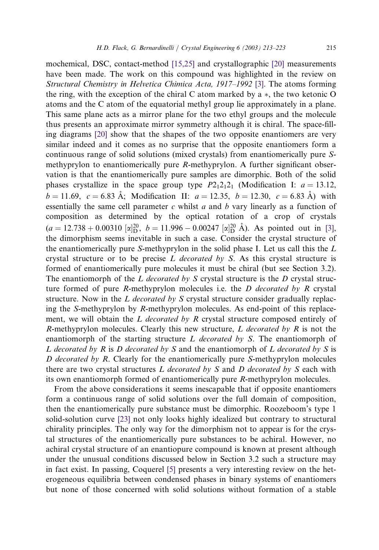mochemical, DSC, contact-method [\[15,25\]](#page-9-0) and crystallographic [\[20\]](#page-9-0) measurements have been made. The work on this compound was highlighted in the review on Structural Chemistry in Helvetica Chimica Acta, 1917–1992 [\[3\].](#page-9-0) The atoms forming the ring, with the exception of the chiral C atom marked by  $a *$ , the two ketonic O atoms and the C atom of the equatorial methyl group lie approximately in a plane. This same plane acts as a mirror plane for the two ethyl groups and the molecule thus presents an approximate mirror symmetry although it is chiral. The space-filling diagrams [\[20\]](#page-9-0) show that the shapes of the two opposite enantiomers are very similar indeed and it comes as no surprise that the opposite enantiomers form a continuous range of solid solutions (mixed crystals) from enantiomerically pure Smethyprylon to enantiomerically pure R-methyprylon. A further significant observation is that the enantiomerically pure samples are dimorphic. Both of the solid phases crystallize in the space group type  $P2_12_12_1$  (Modification I:  $a = 13.12$ ,  $b = 11.69$ ,  $c = 6.83 \text{ Å}$ ; Modification II:  $a = 12.35$ ,  $b = 12.30$ ,  $c = 6.83 \text{ Å}$ ) with essentially the same cell parameter  $c$  whilst  $a$  and  $b$  vary linearly as a function of composition as determined by the optical rotation of a crop of crystals  $(a = 12.738 + 0.00310 [\alpha]_D^{20}, b = 11.996 - 0.00247 [\alpha]_D^{20}$  Å). As pointed out in [\[3\],](#page-9-0) the dimorphism seems inevitable in such a case. Consider the crystal structure of the enantiomerically pure S-methyprylon in the solid phase I. Let us call this the L crystal structure or to be precise  $L$  decorated by  $S$ . As this crystal structure is formed of enantiomerically pure molecules it must be chiral (but see Section 3.2). The enantiomorph of the L decorated by S crystal structure is the D crystal structure formed of pure R-methyprylon molecules i.e. the  $D$  decorated by R crystal structure. Now in the  $L$  decorated by  $S$  crystal structure consider gradually replacing the S-methyprylon by R-methyprylon molecules. As end-point of this replacement, we will obtain the L decorated by R crystal structure composed entirely of R-methyprylon molecules. Clearly this new structure, L decorated by R is not the enantiomorph of the starting structure L decorated by S. The enantiomorph of L decorated by R is D decorated by S and the enantiomorph of L decorated by S is D decorated by R. Clearly for the enantiomerically pure S-methyprylon molecules there are two crystal structures L decorated by S and D decorated by S each with its own enantiomorph formed of enantiomerically pure R-methyprylon molecules.

From the above considerations it seems inescapable that if opposite enantiomers form a continuous range of solid solutions over the full domain of composition, then the enantiomerically pure substance must be dimorphic. Roozeboom's type 1 solid-solution curve [\[23\]](#page-9-0) not only looks highly idealized but contrary to structural chirality principles. The only way for the dimorphism not to appear is for the crystal structures of the enantiomerically pure substances to be achiral. However, no achiral crystal structure of an enantiopure compound is known at present although under the unusual conditions discussed below in Section 3.2 such a structure may in fact exist. In passing, Coquerel [\[5\]](#page-9-0) presents a very interesting review on the heterogeneous equilibria between condensed phases in binary systems of enantiomers but none of those concerned with solid solutions without formation of a stable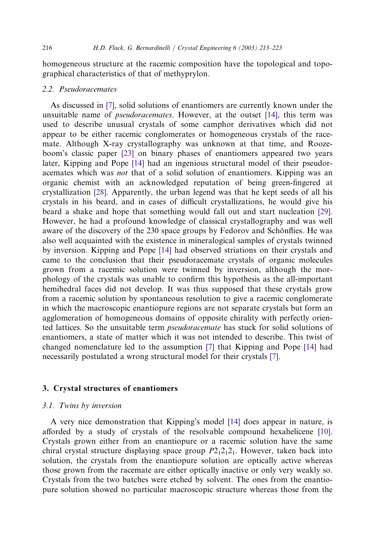homogeneous structure at the racemic composition have the topological and topographical characteristics of that of methyprylon.

# 2.2. Pseudoracemates

As discussed in [\[7\]](#page-9-0), solid solutions of enantiomers are currently known under the unsuitable name of pseudoracemates. However, at the outset [\[14\],](#page-9-0) this term was used to describe unusual crystals of some camphor derivatives which did not appear to be either racemic conglomerates or homogeneous crystals of the racemate. Although X-ray crystallography was unknown at that time, and Roozeboom's classic paper [\[23\]](#page-9-0) on binary phases of enantiomers appeared two years later, Kipping and Pope [\[14\]](#page-9-0) had an ingenious structural model of their pseudoracemates which was not that of a solid solution of enantiomers. Kipping was an organic chemist with an acknowledged reputation of being green-fingered at crystallization [\[28\]](#page-10-0). Apparently, the urban legend was that he kept seeds of all his crystals in his beard, and in cases of difficult crystallizations, he would give his beard a shake and hope that something would fall out and start nucleation [\[29\]](#page-10-0). However, he had a profound knowledge of classical crystallography and was well aware of the discovery of the 230 space groups by Fedorov and Schönflies. He was also well acquainted with the existence in mineralogical samples of crystals twinned by inversion. Kipping and Pope [\[14\]](#page-9-0) had observed striations on their crystals and came to the conclusion that their pseudoracemate crystals of organic molecules grown from a racemic solution were twinned by inversion, although the morphology of the crystals was unable to confirm this hypothesis as the all-important hemihedral faces did not develop. It was thus supposed that these crystals grow from a racemic solution by spontaneous resolution to give a racemic conglomerate in which the macroscopic enantiopure regions are not separate crystals but form an agglomeration of homogeneous domains of opposite chirality with perfectly oriented lattices. So the unsuitable term pseudoracemate has stuck for solid solutions of enantiomers, a state of matter which it was not intended to describe. This twist of changed nomenclature led to the assumption [\[7\]](#page-9-0) that Kipping and Pope [\[14\]](#page-9-0) had necessarily postulated a wrong structural model for their crystals [\[7\].](#page-9-0)

### 3. Crystal structures of enantiomers

# 3.1. Twins by inversion

A very nice demonstration that Kipping's model [\[14\]](#page-9-0) does appear in nature, is afforded by a study of crystals of the resolvable compound hexahelicene [\[10\]](#page-9-0). Crystals grown either from an enantiopure or a racemic solution have the same chiral crystal structure displaying space group  $P2_12_12_1$ . However, taken back into solution, the crystals from the enantiopure solution are optically active whereas those grown from the racemate are either optically inactive or only very weakly so. Crystals from the two batches were etched by solvent. The ones from the enantiopure solution showed no particular macroscopic structure whereas those from the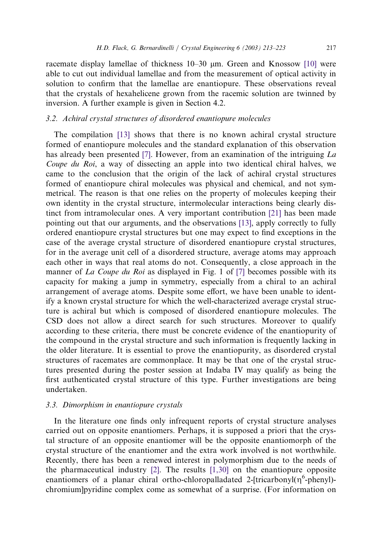racemate display lamellae of thickness  $10-30 \mu$ m. Green and Knossow [\[10\]](#page-9-0) were able to cut out individual lamellae and from the measurement of optical activity in solution to confirm that the lamellae are enantiopure. These observations reveal that the crystals of hexahelicene grown from the racemic solution are twinned by inversion. A further example is given in Section 4.2.

# 3.2. Achiral crystal structures of disordered enantiopure molecules

The compilation [\[13\]](#page-9-0) shows that there is no known achiral crystal structure formed of enantiopure molecules and the standard explanation of this observation has already been presented [\[7\]](#page-9-0). However, from an examination of the intriguing La Coupe du Roi, a way of dissecting an apple into two identical chiral halves, we came to the conclusion that the origin of the lack of achiral crystal structures formed of enantiopure chiral molecules was physical and chemical, and not symmetrical. The reason is that one relies on the property of molecules keeping their own identity in the crystal structure, intermolecular interactions being clearly distinct from intramolecular ones. A very important contribution [\[21\]](#page-9-0) has been made pointing out that our arguments, and the observations [\[13\],](#page-9-0) apply correctly to fully ordered enantiopure crystal structures but one may expect to find exceptions in the case of the average crystal structure of disordered enantiopure crystal structures, for in the average unit cell of a disordered structure, average atoms may approach each other in ways that real atoms do not. Consequently, a close approach in the manner of *La Coupe du Roi* as displayed in Fig. 1 of [\[7\]](#page-9-0) becomes possible with its capacity for making a jump in symmetry, especially from a chiral to an achiral arrangement of average atoms. Despite some effort, we have been unable to identify a known crystal structure for which the well-characterized average crystal structure is achiral but which is composed of disordered enantiopure molecules. The CSD does not allow a direct search for such structures. Moreover to qualify according to these criteria, there must be concrete evidence of the enantiopurity of the compound in the crystal structure and such information is frequently lacking in the older literature. It is essential to prove the enantiopurity, as disordered crystal structures of racemates are commonplace. It may be that one of the crystal structures presented during the poster session at Indaba IV may qualify as being the first authenticated crystal structure of this type. Further investigations are being undertaken.

# 3.3. Dimorphism in enantiopure crystals

In the literature one finds only infrequent reports of crystal structure analyses carried out on opposite enantiomers. Perhaps, it is supposed a priori that the crystal structure of an opposite enantiomer will be the opposite enantiomorph of the crystal structure of the enantiomer and the extra work involved is not worthwhile. Recently, there has been a renewed interest in polymorphism due to the needs of the pharmaceutical industry  $[2]$ . The results  $[1,30]$  on the enantiopure opposite enantiomers of a planar chiral ortho-chloropalladated 2-[tricarbonyl( $\eta^6$ -phenyl)chromium]pyridine complex come as somewhat of a surprise. (For information on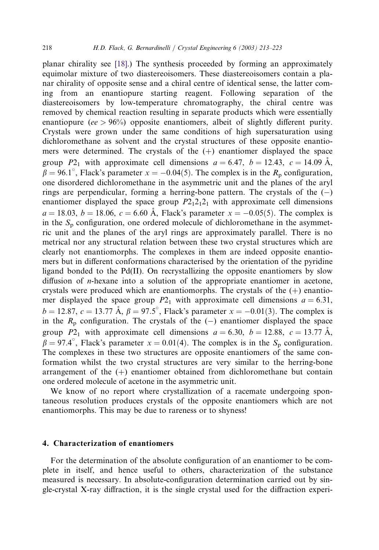planar chirality see [\[18\]](#page-9-0).) The synthesis proceeded by forming an approximately equimolar mixture of two diastereoisomers. These diastereoisomers contain a planar chirality of opposite sense and a chiral centre of identical sense, the latter coming from an enantiopure starting reagent. Following separation of the diastereoisomers by low-temperature chromatography, the chiral centre was removed by chemical reaction resulting in separate products which were essentially enantiopure (ee  $> 96\%$ ) opposite enantiomers, albeit of slightly different purity. Crystals were grown under the same conditions of high supersaturation using dichloromethane as solvent and the crystal structures of these opposite enantiomers were determined. The crystals of the  $(+)$  enantiomer displayed the space group  $P2_1$  with approximate cell dimensions  $a = 6.47$ ,  $b = 12.43$ ,  $c = 14.09$  Å,  $\beta = 96.1^{\circ}$ , Flack's parameter  $x = -0.04(5)$ . The complex is in the  $R_p$  configuration, one disordered dichloromethane in the asymmetric unit and the planes of the aryl rings are perpendicular, forming a herring-bone pattern. The crystals of the  $(-)$ enantiomer displayed the space group  $P_12_12_1$  with approximate cell dimensions  $a = 18.03, b = 18.06, c = 6.60$  Å, Flack's parameter  $x = -0.05(5)$ . The complex is in the  $S_p$  configuration, one ordered molecule of dichloromethane in the asymmetric unit and the planes of the aryl rings are approximately parallel. There is no metrical nor any structural relation between these two crystal structures which are clearly not enantiomorphs. The complexes in them are indeed opposite enantiomers but in different conformations characterised by the orientation of the pyridine ligand bonded to the Pd(II). On recrystallizing the opposite enantiomers by slow diffusion of n-hexane into a solution of the appropriate enantiomer in acetone, crystals were produced which are enantiomorphs. The crystals of the  $(+)$  enantiomer displayed the space group  $P2_1$  with approximate cell dimensions  $a = 6.31$ ,  $b = 12.87, c = 13.77 \text{ Å}, \beta = 97.5^{\circ}, \text{ Flack's parameter } x = -0.01(3)$ . The complex is in the  $R_p$  configuration. The crystals of the  $(-)$  enantiomer displayed the space group  $P2_1$  with approximate cell dimensions  $a = 6.30$ ,  $b = 12.88$ ,  $c = 13.77 \text{ Å}$ ,  $\beta = 97.4^{\circ}$ , Flack's parameter  $x = 0.01(4)$ . The complex is in the S<sub>p</sub> configuration. The complexes in these two structures are opposite enantiomers of the same conformation whilst the two crystal structures are very similar to the herring-bone arrangement of the (+) enantiomer obtained from dichloromethane but contain one ordered molecule of acetone in the asymmetric unit.

We know of no report where crystallization of a racemate undergoing spontaneous resolution produces crystals of the opposite enantiomers which are not enantiomorphs. This may be due to rareness or to shyness!

## 4. Characterization of enantiomers

For the determination of the absolute configuration of an enantiomer to be complete in itself, and hence useful to others, characterization of the substance measured is necessary. In absolute-configuration determination carried out by single-crystal X-ray diffraction, it is the single crystal used for the diffraction experi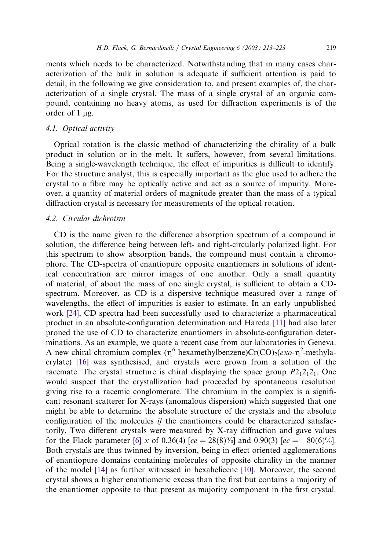ments which needs to be characterized. Notwithstanding that in many cases characterization of the bulk in solution is adequate if sufficient attention is paid to detail, in the following we give consideration to, and present examples of, the characterization of a single crystal. The mass of a single crystal of an organic compound, containing no heavy atoms, as used for diffraction experiments is of the order of  $1 \mu$ g.

## 4.1. Optical activity

Optical rotation is the classic method of characterizing the chirality of a bulk product in solution or in the melt. It suffers, however, from several limitations. Being a single-wavelength technique, the effect of impurities is difficult to identify. For the structure analyst, this is especially important as the glue used to adhere the crystal to a fibre may be optically active and act as a source of impurity. Moreover, a quantity of material orders of magnitude greater than the mass of a typical diffraction crystal is necessary for measurements of the optical rotation.

# 4.2. Circular dichroism

CD is the name given to the difference absorption spectrum of a compound in solution, the difference being between left- and right-circularly polarized light. For this spectrum to show absorption bands, the compound must contain a chromophore. The CD-spectra of enantiopure opposite enantiomers in solutions of identical concentration are mirror images of one another. Only a small quantity of material, of about the mass of one single crystal, is sufficient to obtain a CDspectrum. Moreover, as CD is a dispersive technique measured over a range of wavelengths, the effect of impurities is easier to estimate. In an early unpublished work [\[24\],](#page-10-0) CD spectra had been successfully used to characterize a pharmaceutical product in an absolute-configuration determination and Hareda [\[11\]](#page-9-0) had also later proned the use of CD to characterize enantiomers in absolute-configuration determinations. As an example, we quote a recent case from our laboratories in Geneva. A new chiral chromium complex ( $\eta^6$  hexamethylbenzene)Cr(CO)<sub>2</sub>(exo- $\eta^2$ -methylacrylate) [\[16\]](#page-9-0) was synthesised, and crystals were grown from a solution of the racemate. The crystal structure is chiral displaying the space group  $P2_12_12_1$ . One would suspect that the crystallization had proceeded by spontaneous resolution giving rise to a racemic conglomerate. The chromium in the complex is a significant resonant scatterer for X-rays (anomalous dispersion) which suggested that one might be able to determine the absolute structure of the crystals and the absolute configuration of the molecules *if* the enantiomers could be characterized satisfactorily. Two different crystals were measured by X-ray diffraction and gave values for the Flack parameter [\[6\]](#page-9-0) x of 0.36(4) [ee = 28(8)%] and 0.90(3) [ee = -80(6)%]. Both crystals are thus twinned by inversion, being in effect oriented agglomerations of enantiopure domains containing molecules of opposite chirality in the manner of the model [\[14\]](#page-9-0) as further witnessed in hexahelicene [\[10\]](#page-9-0). Moreover, the second crystal shows a higher enantiomeric excess than the first but contains a majority of the enantiomer opposite to that present as majority component in the first crystal.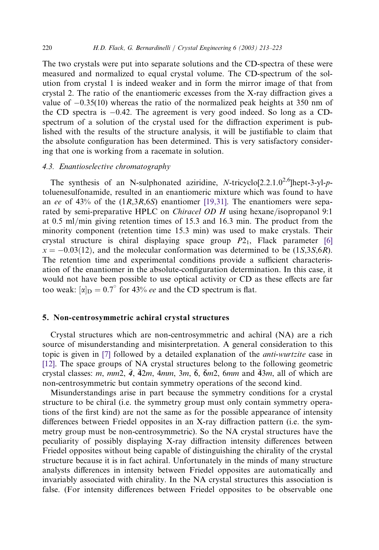The two crystals were put into separate solutions and the CD-spectra of these were measured and normalized to equal crystal volume. The CD-spectrum of the solution from crystal 1 is indeed weaker and in form the mirror image of that from crystal 2. The ratio of the enantiomeric excesses from the X-ray diffraction gives a value of  $-0.35(10)$  whereas the ratio of the normalized peak heights at 350 nm of the CD spectra is  $-0.42$ . The agreement is very good indeed. So long as a CDspectrum of a solution of the crystal used for the diffraction experiment is published with the results of the structure analysis, it will be justifiable to claim that the absolute configuration has been determined. This is very satisfactory considering that one is working from a racemate in solution.

## 4.3. Enantioselective chromatography

The synthesis of an N-sulphonated aziridine, N-tricyclo<sup>[2.2.1.0<sup>2,6</sup>]hept-3-yl-p-</sup> toluenesulfonamide, resulted in an enantiomeric mixture which was found to have an ee of  $43\%$  of the  $(1R,3R,6S)$  enantiomer [\[19,31\]](#page-9-0). The enantiomers were separated by semi-preparative HPLC on Chiracel OD H using hexane/isopropanol 9:1 at 0.5 ml/min giving retention times of 15.3 and 16.3 min. The product from the minority component (retention time 15.3 min) was used to make crystals. Their crystal structure is chiral displaying space group  $P_1$ , Flack parameter [\[6\]](#page-9-0)  $x = -0.03(12)$ , and the molecular conformation was determined to be (1S,3S,6R). The retention time and experimental conditions provide a sufficient characterisation of the enantiomer in the absolute-configuration determination. In this case, it would not have been possible to use optical activity or CD as these effects are far too weak:  $[\alpha]_D = 0.7^{\circ}$  for 43% ee and the CD spectrum is flat.

# 5. Non-centrosymmetric achiral crystal structures

Crystal structures which are non-centrosymmetric and achiral (NA) are a rich source of misunderstanding and misinterpretation. A general consideration to this topic is given in [\[7\]](#page-9-0) followed by a detailed explanation of the *anti-wurtzite* case in [\[12\].](#page-9-0) The space groups of NA crystal structures belong to the following geometric crystal classes: m, mm2,  $\bar{4}$ ,  $\bar{4}2m$ , 4mm, 3m,  $\bar{6}$ ,  $\bar{6}m$ 2, 6mm and  $\bar{4}3m$ , all of which are non-centrosymmetric but contain symmetry operations of the second kind.

Misunderstandings arise in part because the symmetry conditions for a crystal structure to be chiral (i.e. the symmetry group must only contain symmetry operations of the first kind) are not the same as for the possible appearance of intensity differences between Friedel opposites in an X-ray diffraction pattern (i.e. the symmetry group must be non-centrosymmetric). So the NA crystal structures have the peculiarity of possibly displaying X-ray diffraction intensity differences between Friedel opposites without being capable of distinguishing the chirality of the crystal structure because it is in fact achiral. Unfortunately in the minds of many structure analysts differences in intensity between Friedel opposites are automatically and invariably associated with chirality. In the NA crystal structures this association is false. (For intensity differences between Friedel opposites to be observable one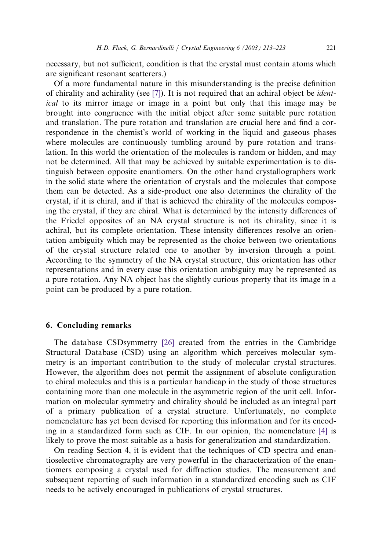necessary, but not sufficient, condition is that the crystal must contain atoms which are significant resonant scatterers.)

Of a more fundamental nature in this misunderstanding is the precise definition of chirality and achirality (see [\[7\]\)](#page-9-0). It is not required that an achiral object be identical to its mirror image or image in a point but only that this image may be brought into congruence with the initial object after some suitable pure rotation and translation. The pure rotation and translation are crucial here and find a correspondence in the chemist's world of working in the liquid and gaseous phases where molecules are continuously tumbling around by pure rotation and translation. In this world the orientation of the molecules is random or hidden, and may not be determined. All that may be achieved by suitable experimentation is to distinguish between opposite enantiomers. On the other hand crystallographers work in the solid state where the orientation of crystals and the molecules that compose them can be detected. As a side-product one also determines the chirality of the crystal, if it is chiral, and if that is achieved the chirality of the molecules composing the crystal, if they are chiral. What is determined by the intensity differences of the Friedel opposites of an NA crystal structure is not its chirality, since it is achiral, but its complete orientation. These intensity differences resolve an orientation ambiguity which may be represented as the choice between two orientations of the crystal structure related one to another by inversion through a point. According to the symmetry of the NA crystal structure, this orientation has other representations and in every case this orientation ambiguity may be represented as a pure rotation. Any NA object has the slightly curious property that its image in a point can be produced by a pure rotation.

## 6. Concluding remarks

The database CSDsymmetry [\[26\]](#page-10-0) created from the entries in the Cambridge Structural Database (CSD) using an algorithm which perceives molecular symmetry is an important contribution to the study of molecular crystal structures. However, the algorithm does not permit the assignment of absolute configuration to chiral molecules and this is a particular handicap in the study of those structures containing more than one molecule in the asymmetric region of the unit cell. Information on molecular symmetry and chirality should be included as an integral part of a primary publication of a crystal structure. Unfortunately, no complete nomenclature has yet been devised for reporting this information and for its encoding in a standardized form such as CIF. In our opinion, the nomenclature [\[4\]](#page-9-0) is likely to prove the most suitable as a basis for generalization and standardization.

On reading Section 4, it is evident that the techniques of CD spectra and enantioselective chromatography are very powerful in the characterization of the enantiomers composing a crystal used for diffraction studies. The measurement and subsequent reporting of such information in a standardized encoding such as CIF needs to be actively encouraged in publications of crystal structures.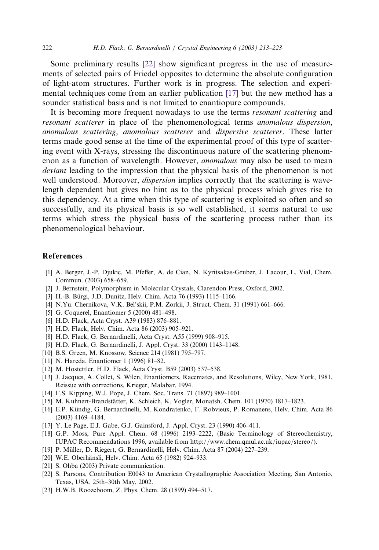<span id="page-9-0"></span>Some preliminary results [22] show significant progress in the use of measurements of selected pairs of Friedel opposites to determine the absolute configuration of light-atom structures. Further work is in progress. The selection and experimental techniques come from an earlier publication [17] but the new method has a sounder statistical basis and is not limited to enantiopure compounds.

It is becoming more frequent nowadays to use the terms resonant scattering and resonant scatterer in place of the phenomenological terms anomalous dispersion, anomalous scattering, anomalous scatterer and dispersive scatterer. These latter terms made good sense at the time of the experimental proof of this type of scattering event with X-rays, stressing the discontinuous nature of the scattering phenomenon as a function of wavelength. However, anomalous may also be used to mean deviant leading to the impression that the physical basis of the phenomenon is not well understood. Moreover, *dispersion* implies correctly that the scattering is wavelength dependent but gives no hint as to the physical process which gives rise to this dependency. At a time when this type of scattering is exploited so often and so successfully, and its physical basis is so well established, it seems natural to use terms which stress the physical basis of the scattering process rather than its phenomenological behaviour.

# References

- [1] A. Berger, J.-P. Djukic, M. Pfeffer, A. de Cian, N. Kyritsakas-Gruber, J. Lacour, L. Vial, Chem. Commun. (2003) 658–659.
- [2] J. Bernstein, Polymorphism in Molecular Crystals, Clarendon Press, Oxford, 2002.
- [3] H.-B. Bürgi, J.D. Dunitz, Helv. Chim. Acta 76 (1993) 1115–1166.
- [4] N.Yu. Chernikova, V.K. Bel'skii, P.M. Zorkii, J. Struct. Chem. 31 (1991) 661–666.
- [5] G. Coquerel, Enantiomer 5 (2000) 481–498.
- [6] H.D. Flack, Acta Cryst. A39 (1983) 876–881.
- [7] H.D. Flack, Helv. Chim. Acta 86 (2003) 905–921.
- [8] H.D. Flack, G. Bernardinelli, Acta Cryst. A55 (1999) 908–915.
- [9] H.D. Flack, G. Bernardinelli, J. Appl. Cryst. 33 (2000) 1143–1148.
- [10] B.S. Green, M. Knossow, Science 214 (1981) 795–797.
- [11] N. Hareda, Enantiomer 1 (1996) 81-82.
- [12] M. Hostettler, H.D. Flack, Acta Cryst. B59 (2003) 537–538.
- [13] J. Jacques, A. Collet, S. Wilen, Enantiomers, Racemates, and Resolutions, Wiley, New York, 1981, Reissue with corrections, Krieger, Malabar, 1994.
- [14] F.S. Kipping, W.J. Pope, J. Chem. Soc. Trans. 71 (1897) 989–1001.
- [15] M. Kuhnert-Brandstätter, K. Schleich, K. Vogler, Monatsh. Chem. 101 (1970) 1817–1823.
- [16] E.P. Kündig, G. Bernardinelli, M. Kondratenko, F. Robvieux, P. Romanens, Helv. Chim. Acta 86 (2003) 4169–4184.
- [17] Y. Le Page, E.J. Gabe, G.J. Gainsford, J. Appl. Cryst. 23 (1990) 406-411.
- [18] G.P. Moss, Pure Appl. Chem. 68 (1996) 2193–2222, (Basic Terminology of Stereochemistry, IUPAC Recommendations 1996, available from http://www.chem.qmul.ac.uk/iupac/stereo/).
- [19] P. Müller, D. Riegert, G. Bernardinelli, Helv. Chim. Acta 87 (2004) 227-239.
- [20] W.E. Oberhänsli, Helv. Chim. Acta 65 (1982) 924–933.
- [21] S. Ohba (2003) Private communication.
- [22] S. Parsons, Contribution E0043 to American Crystallographic Association Meeting, San Antonio, Texas, USA, 25th–30th May, 2002.
- [23] H.W.B. Roozeboom, Z. Phys. Chem. 28 (1899) 494–517.